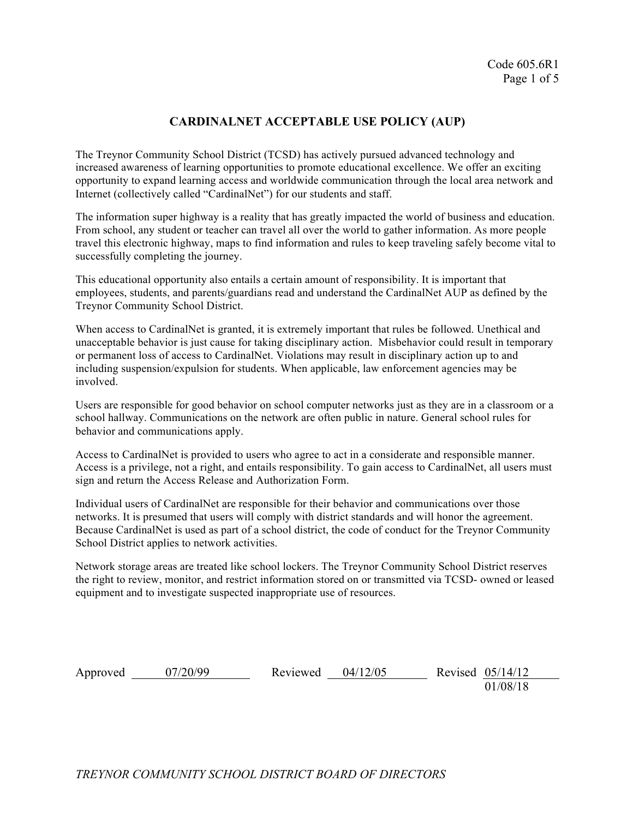## **CARDINALNET ACCEPTABLE USE POLICY (AUP)**

The Treynor Community School District (TCSD) has actively pursued advanced technology and increased awareness of learning opportunities to promote educational excellence. We offer an exciting opportunity to expand learning access and worldwide communication through the local area network and Internet (collectively called "CardinalNet") for our students and staff.

The information super highway is a reality that has greatly impacted the world of business and education. From school, any student or teacher can travel all over the world to gather information. As more people travel this electronic highway, maps to find information and rules to keep traveling safely become vital to successfully completing the journey.

This educational opportunity also entails a certain amount of responsibility. It is important that employees, students, and parents/guardians read and understand the CardinalNet AUP as defined by the Treynor Community School District.

When access to CardinalNet is granted, it is extremely important that rules be followed. Unethical and unacceptable behavior is just cause for taking disciplinary action. Misbehavior could result in temporary or permanent loss of access to CardinalNet. Violations may result in disciplinary action up to and including suspension/expulsion for students. When applicable, law enforcement agencies may be involved.

Users are responsible for good behavior on school computer networks just as they are in a classroom or a school hallway. Communications on the network are often public in nature. General school rules for behavior and communications apply.

Access to CardinalNet is provided to users who agree to act in a considerate and responsible manner. Access is a privilege, not a right, and entails responsibility. To gain access to CardinalNet, all users must sign and return the Access Release and Authorization Form.

Individual users of CardinalNet are responsible for their behavior and communications over those networks. It is presumed that users will comply with district standards and will honor the agreement. Because CardinalNet is used as part of a school district, the code of conduct for the Treynor Community School District applies to network activities.

Network storage areas are treated like school lockers. The Treynor Community School District reserves the right to review, monitor, and restrict information stored on or transmitted via TCSD- owned or leased equipment and to investigate suspected inappropriate use of resources.

Approved 07/20/99 Reviewed 04/12/05 Revised 05/14/12

01/08/18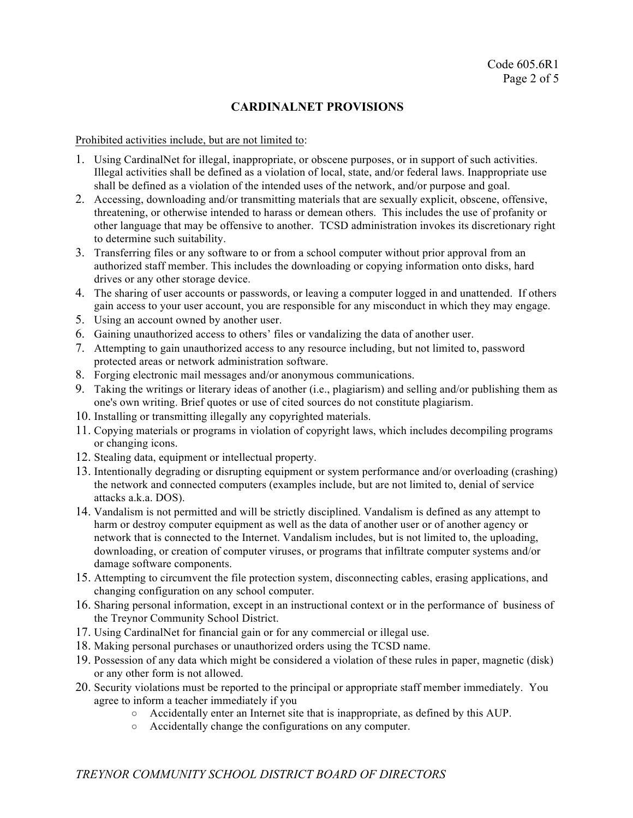## **CARDINALNET PROVISIONS**

Prohibited activities include, but are not limited to:

- 1. Using CardinalNet for illegal, inappropriate, or obscene purposes, or in support of such activities. Illegal activities shall be defined as a violation of local, state, and/or federal laws. Inappropriate use shall be defined as a violation of the intended uses of the network, and/or purpose and goal.
- 2. Accessing, downloading and/or transmitting materials that are sexually explicit, obscene, offensive, threatening, or otherwise intended to harass or demean others. This includes the use of profanity or other language that may be offensive to another. TCSD administration invokes its discretionary right to determine such suitability.
- 3. Transferring files or any software to or from a school computer without prior approval from an authorized staff member. This includes the downloading or copying information onto disks, hard drives or any other storage device.
- 4. The sharing of user accounts or passwords, or leaving a computer logged in and unattended. If others gain access to your user account, you are responsible for any misconduct in which they may engage.
- 5. Using an account owned by another user.
- 6. Gaining unauthorized access to others' files or vandalizing the data of another user.
- 7. Attempting to gain unauthorized access to any resource including, but not limited to, password protected areas or network administration software.
- 8. Forging electronic mail messages and/or anonymous communications.
- 9. Taking the writings or literary ideas of another (i.e., plagiarism) and selling and/or publishing them as one's own writing. Brief quotes or use of cited sources do not constitute plagiarism.
- 10. Installing or transmitting illegally any copyrighted materials.
- 11. Copying materials or programs in violation of copyright laws, which includes decompiling programs or changing icons.
- 12. Stealing data, equipment or intellectual property.
- 13. Intentionally degrading or disrupting equipment or system performance and/or overloading (crashing) the network and connected computers (examples include, but are not limited to, denial of service attacks a.k.a. DOS).
- 14. Vandalism is not permitted and will be strictly disciplined. Vandalism is defined as any attempt to harm or destroy computer equipment as well as the data of another user or of another agency or network that is connected to the Internet. Vandalism includes, but is not limited to, the uploading, downloading, or creation of computer viruses, or programs that infiltrate computer systems and/or damage software components.
- 15. Attempting to circumvent the file protection system, disconnecting cables, erasing applications, and changing configuration on any school computer.
- 16. Sharing personal information, except in an instructional context or in the performance of business of the Treynor Community School District.
- 17. Using CardinalNet for financial gain or for any commercial or illegal use.
- 18. Making personal purchases or unauthorized orders using the TCSD name.
- 19. Possession of any data which might be considered a violation of these rules in paper, magnetic (disk) or any other form is not allowed.
- 20. Security violations must be reported to the principal or appropriate staff member immediately. You agree to inform a teacher immediately if you
	- Accidentally enter an Internet site that is inappropriate, as defined by this AUP.
		- Accidentally change the configurations on any computer.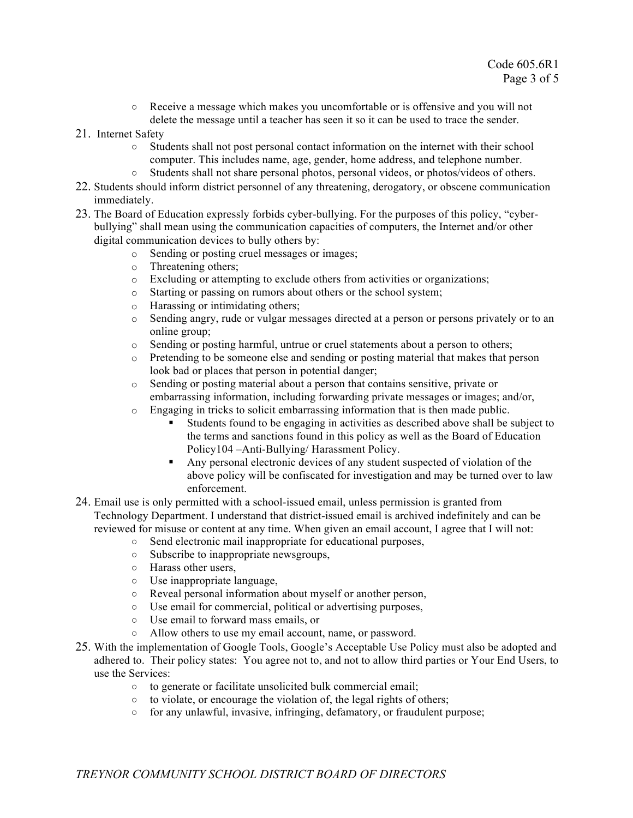- Receive a message which makes you uncomfortable or is offensive and you will not delete the message until a teacher has seen it so it can be used to trace the sender.
- 21. Internet Safety
	- Students shall not post personal contact information on the internet with their school computer. This includes name, age, gender, home address, and telephone number.
	- Students shall not share personal photos, personal videos, or photos/videos of others.
- 22. Students should inform district personnel of any threatening, derogatory, or obscene communication immediately.
- 23. The Board of Education expressly forbids cyber-bullying. For the purposes of this policy, "cyberbullying" shall mean using the communication capacities of computers, the Internet and/or other digital communication devices to bully others by:
	- o Sending or posting cruel messages or images;
	- o Threatening others;
	- o Excluding or attempting to exclude others from activities or organizations;
	- o Starting or passing on rumors about others or the school system;
	- o Harassing or intimidating others;
	- o Sending angry, rude or vulgar messages directed at a person or persons privately or to an online group;
	- o Sending or posting harmful, untrue or cruel statements about a person to others;
	- o Pretending to be someone else and sending or posting material that makes that person look bad or places that person in potential danger;
	- o Sending or posting material about a person that contains sensitive, private or embarrassing information, including forwarding private messages or images; and/or,
	- o Engaging in tricks to solicit embarrassing information that is then made public.
		- ! Students found to be engaging in activities as described above shall be subject to the terms and sanctions found in this policy as well as the Board of Education Policy104 –Anti-Bullying/ Harassment Policy.
		- ! Any personal electronic devices of any student suspected of violation of the above policy will be confiscated for investigation and may be turned over to law enforcement.
- 24. Email use is only permitted with a school-issued email, unless permission is granted from Technology Department. I understand that district-issued email is archived indefinitely and can be reviewed for misuse or content at any time. When given an email account, I agree that I will not:
	- Send electronic mail inappropriate for educational purposes,
	- Subscribe to inappropriate newsgroups,
	- Harass other users,
	- Use inappropriate language,
	- Reveal personal information about myself or another person,
	- Use email for commercial, political or advertising purposes,
	- Use email to forward mass emails, or
	- Allow others to use my email account, name, or password.
- 25. With the implementation of Google Tools, Google's Acceptable Use Policy must also be adopted and adhered to. Their policy states: You agree not to, and not to allow third parties or Your End Users, to use the Services:
	- to generate or facilitate unsolicited bulk commercial email;
	- to violate, or encourage the violation of, the legal rights of others;
	- for any unlawful, invasive, infringing, defamatory, or fraudulent purpose;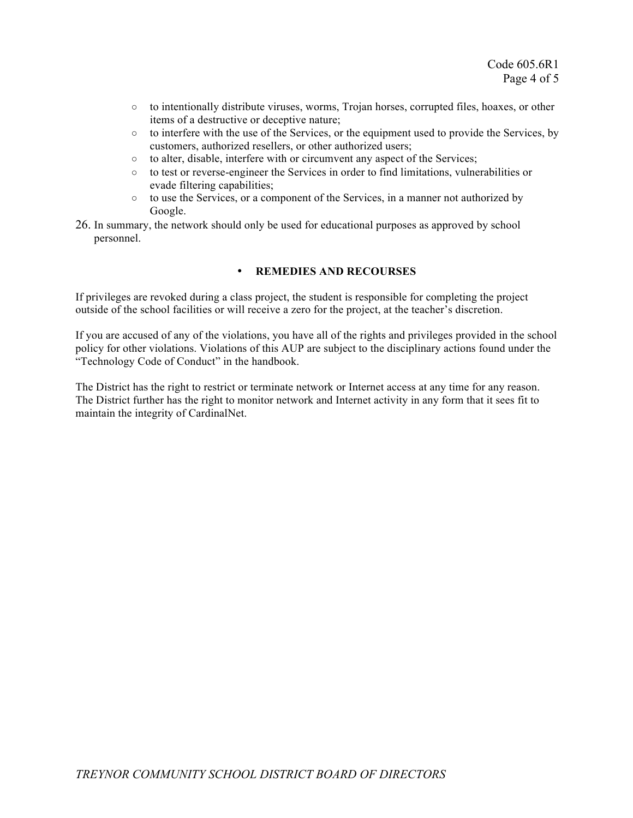- $\circ$  to intentionally distribute viruses, worms, Trojan horses, corrupted files, hoaxes, or other items of a destructive or deceptive nature;
- to interfere with the use of the Services, or the equipment used to provide the Services, by customers, authorized resellers, or other authorized users;
- to alter, disable, interfere with or circumvent any aspect of the Services;
- to test or reverse-engineer the Services in order to find limitations, vulnerabilities or evade filtering capabilities;
- to use the Services, or a component of the Services, in a manner not authorized by Google.
- 26. In summary, the network should only be used for educational purposes as approved by school personnel.

## • **REMEDIES AND RECOURSES**

If privileges are revoked during a class project, the student is responsible for completing the project outside of the school facilities or will receive a zero for the project, at the teacher's discretion.

If you are accused of any of the violations, you have all of the rights and privileges provided in the school policy for other violations. Violations of this AUP are subject to the disciplinary actions found under the "Technology Code of Conduct" in the handbook.

The District has the right to restrict or terminate network or Internet access at any time for any reason. The District further has the right to monitor network and Internet activity in any form that it sees fit to maintain the integrity of CardinalNet.